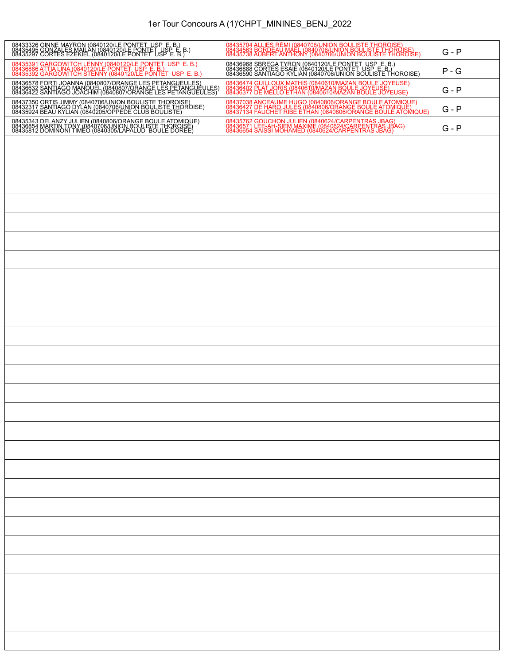## 1er Tour Concours A (1)'CHPT\_MININES\_BENJ\_2022

| 08433326 OINNE MAYRON (0840120/LE PONTET, USP, E. B.)<br>08435495 GONZALES MAILAN (0840120/LE PONTET, USP, E. B.)<br>08435297 CORTES EZEKIEL (0840120/LE PONTET, USP, E. B.)          | 08435704 ALLIES RÉMI (0840706/UNION BOULISTE THOROISE)<br>08434563 BORDEAU MAÉL (0840706/UNION BOULISTE THOROISE)<br>08435738 AUBERT ANTHONY (0840706/UNION BOULISTE THOROISE)  | $G - P$ |
|---------------------------------------------------------------------------------------------------------------------------------------------------------------------------------------|---------------------------------------------------------------------------------------------------------------------------------------------------------------------------------|---------|
| 08435391 GARGOWITCH LENNY (0840120/LE PONTET USP E. B.)<br>08436886 ATTIA LINA (0840120/LE PONTET USP E. B.)<br>08435392 GARGOWITCH STENNY (0840120/LE PONTET USP E. B.)              | 08436968 SBREGA TYRON (0840120/LE PONTET, USP, E. B.)<br>08436888 CORTES ESAIE (0840120/LE PONTET, USP, E. B.)<br>08436590 SANTIAGO KYLIAN (0840706/UNION BOULISTE THOROISE)    | $P - G$ |
| 08436578 FORTI JOANNA (0840807/ORANGE LES PETANGUEULES)<br>08436632 SANTIAGO MANOUEL (0840807/ORANGE LES PETANGUEULES)<br>08436422 SANTIAGO JOACHIM (0840807/ORANGE LES PETANGUEULES) | 08436474 GUILLOUX MATHIS (0840610/MAZAN BOULE JOYEUSE)<br>08436402 PLAT JORIS (0840610/MAZAN BOULE JOYEUSE)<br>08436377 DE MELLO ETHAN (0840610/MAZAN BOULE JOYEUSE)            | $G - P$ |
| 08437350 ORTIS JIMMY (0840706/UNION BOULISTE THOROISE)<br>08432317 SANTIAGO DYLAN (0840706/UNION BOULISTE THOROISE)<br>08435924 BEAU KYLIAN (0840205/OPPEDE CLUB BOULISTE)            | 08437038 ANCEAUME HUGO (0840806/ORANGE BOULE ATOMIQUE)<br>08436427 DE HARO JULES (0840806/ORANGE BOULE ATOMIQUE)<br>08437134 FAUCHET RIBE ETHAN (0840806/ORANGE BOULE ATOMIQUE) | $G - P$ |
| 08435343 DELANZY JULIEN (0840806/ORANGE BOULE ATOMIQUE)<br>08436854 MARTIN TONY (0840706/UNION BOULISTE THOROISE)<br>08435812 DOMINONI TIMEO (0840305/LAPALUD BOULE DOREE)            | 08435762 GOUCHON JULIEN (0840624/CARPENTRAS JBAG)<br>08436571 LEE-AH-SIEM MAXIME (0840624/CARPENTRAS JBAG)<br>08436654 SAISSI MOHAMED (0840624/CARPENTRAS JBAG)                 | $G - P$ |
|                                                                                                                                                                                       |                                                                                                                                                                                 |         |
|                                                                                                                                                                                       |                                                                                                                                                                                 |         |
|                                                                                                                                                                                       |                                                                                                                                                                                 |         |
|                                                                                                                                                                                       |                                                                                                                                                                                 |         |
|                                                                                                                                                                                       |                                                                                                                                                                                 |         |
|                                                                                                                                                                                       |                                                                                                                                                                                 |         |
|                                                                                                                                                                                       |                                                                                                                                                                                 |         |
|                                                                                                                                                                                       |                                                                                                                                                                                 |         |
|                                                                                                                                                                                       |                                                                                                                                                                                 |         |
|                                                                                                                                                                                       |                                                                                                                                                                                 |         |
|                                                                                                                                                                                       |                                                                                                                                                                                 |         |
|                                                                                                                                                                                       |                                                                                                                                                                                 |         |
|                                                                                                                                                                                       |                                                                                                                                                                                 |         |
|                                                                                                                                                                                       |                                                                                                                                                                                 |         |
|                                                                                                                                                                                       |                                                                                                                                                                                 |         |
|                                                                                                                                                                                       |                                                                                                                                                                                 |         |
|                                                                                                                                                                                       |                                                                                                                                                                                 |         |
|                                                                                                                                                                                       |                                                                                                                                                                                 |         |
|                                                                                                                                                                                       |                                                                                                                                                                                 |         |
|                                                                                                                                                                                       |                                                                                                                                                                                 |         |
|                                                                                                                                                                                       |                                                                                                                                                                                 |         |
|                                                                                                                                                                                       |                                                                                                                                                                                 |         |
|                                                                                                                                                                                       |                                                                                                                                                                                 |         |
|                                                                                                                                                                                       |                                                                                                                                                                                 |         |
|                                                                                                                                                                                       |                                                                                                                                                                                 |         |
|                                                                                                                                                                                       |                                                                                                                                                                                 |         |
|                                                                                                                                                                                       |                                                                                                                                                                                 |         |

L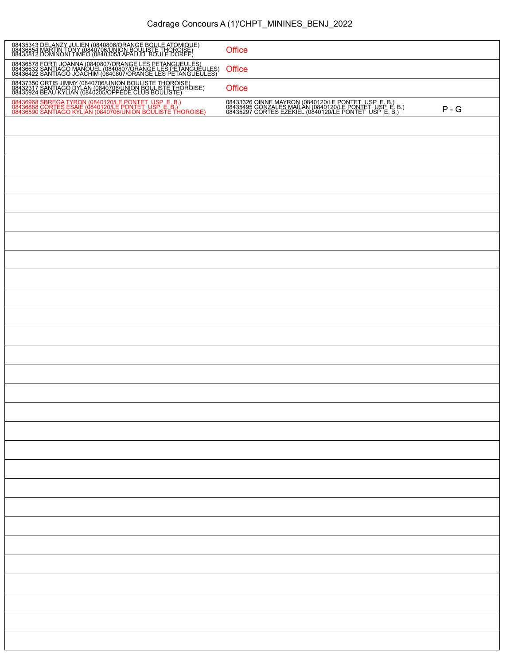## Cadrage Concours A (1)'CHPT\_MININES\_BENJ\_2022

| 08435343 DELANZY JULIEN (0840806/ORANGE BOULE ATOMIQUE)<br>08436854 MARTIN TONY (0840706/UNION BOULISTE THOROISE)<br>08435812 DOMINONI TIMEO (0840305/LAPALUD BOULE DOREE)            | Office                                                                                                                                                                 |         |
|---------------------------------------------------------------------------------------------------------------------------------------------------------------------------------------|------------------------------------------------------------------------------------------------------------------------------------------------------------------------|---------|
| 08436578 FORTI JOANNA (0840807/ORANGE LES PETANGUEULES)<br>08436632 SANTIAGO MANOUEL (0840807/ORANGE LES PETANGUEULES)<br>08436422 SANTIAGO JOACHIM (0840807/ORANGE LES PETANGUEULES) | Office                                                                                                                                                                 |         |
| 08437350 ORTIS JIMMY (0840706/UNION BOULISTE THOROISE)<br>08432317 SANTIAGO DYLAN (0840706/UNION BOULISTE THOROISE)<br>08435924 BEAU KYLIAN (0840205/OPPEDE CLUB BOULISTE)            | Office                                                                                                                                                                 |         |
| 08436968 SBREGA TYRON (0840120/LE PONTET USP_E. B.)<br>08436888 CORTES ESAIE (0840120/LE PONTET USP_E. B.)<br>08436590 SANTIAGO KYLIAN (0840706/UNION BOULISTE THOROISE)              | 08433326 OINNE MAYRON (0840120/LE PONTET_USP_E. B.)<br>08435495 GONZALES MAILAN (0840120/LE PONTET_USP_E. B.)<br>08435297 CORTES EZEKIEL (0840120/LE PONTET_USP_E. B.) | $P - G$ |
|                                                                                                                                                                                       |                                                                                                                                                                        |         |
|                                                                                                                                                                                       |                                                                                                                                                                        |         |
|                                                                                                                                                                                       |                                                                                                                                                                        |         |
|                                                                                                                                                                                       |                                                                                                                                                                        |         |
|                                                                                                                                                                                       |                                                                                                                                                                        |         |
|                                                                                                                                                                                       |                                                                                                                                                                        |         |
|                                                                                                                                                                                       |                                                                                                                                                                        |         |
|                                                                                                                                                                                       |                                                                                                                                                                        |         |
|                                                                                                                                                                                       |                                                                                                                                                                        |         |
|                                                                                                                                                                                       |                                                                                                                                                                        |         |
|                                                                                                                                                                                       |                                                                                                                                                                        |         |
|                                                                                                                                                                                       |                                                                                                                                                                        |         |
|                                                                                                                                                                                       |                                                                                                                                                                        |         |
|                                                                                                                                                                                       |                                                                                                                                                                        |         |
|                                                                                                                                                                                       |                                                                                                                                                                        |         |
|                                                                                                                                                                                       |                                                                                                                                                                        |         |
|                                                                                                                                                                                       |                                                                                                                                                                        |         |
|                                                                                                                                                                                       |                                                                                                                                                                        |         |
|                                                                                                                                                                                       |                                                                                                                                                                        |         |
|                                                                                                                                                                                       |                                                                                                                                                                        |         |
|                                                                                                                                                                                       |                                                                                                                                                                        |         |
|                                                                                                                                                                                       |                                                                                                                                                                        |         |
|                                                                                                                                                                                       |                                                                                                                                                                        |         |
|                                                                                                                                                                                       |                                                                                                                                                                        |         |
|                                                                                                                                                                                       |                                                                                                                                                                        |         |
|                                                                                                                                                                                       |                                                                                                                                                                        |         |
|                                                                                                                                                                                       |                                                                                                                                                                        |         |
|                                                                                                                                                                                       |                                                                                                                                                                        |         |